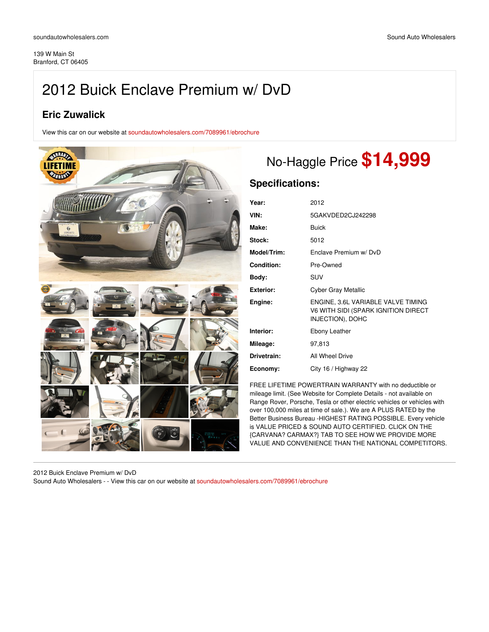# 2012 Buick Enclave Premium w/ DvD

## **Eric Zuwalick**

View this car on our website at [soundautowholesalers.com/7089961/ebrochure](https://soundautowholesalers.com/vehicle/7089961/2012-buick-enclave-premium-w-dvd-branford-ct-06405/7089961/ebrochure)



## No-Haggle Price **\$14,999**

## **Specifications:**

| Year:             | 2012                                                                                          |
|-------------------|-----------------------------------------------------------------------------------------------|
| VIN:              | 5GAKVDED2CJ242298                                                                             |
| Make:             | <b>Buick</b>                                                                                  |
| Stock:            | 5012                                                                                          |
| Model/Trim:       | Fnclave Premium w/ DvD                                                                        |
| <b>Condition:</b> | Pre-Owned                                                                                     |
| Body:             | SUV                                                                                           |
| <b>Exterior:</b>  | Cyber Gray Metallic                                                                           |
| Engine:           | ENGINE, 3.6L VARIABLE VALVE TIMING<br>V6 WITH SIDI (SPARK IGNITION DIRECT<br>INJECTION), DOHC |
| Interior:         | Ebony Leather                                                                                 |
| Mileage:          | 97,813                                                                                        |
| Drivetrain:       | All Wheel Drive                                                                               |
|                   |                                                                                               |

FREE LIFETIME POWERTRAIN WARRANTY with no deductible or mileage limit. (See Website for Complete Details - not available on Range Rover, Porsche, Tesla or other electric vehicles or vehicles with over 100,000 miles at time of sale.). We are A PLUS RATED by the Better Business Bureau -HIGHEST RATING POSSIBLE. Every vehicle is VALUE PRICED & SOUND AUTO CERTIFIED. CLICK ON THE {CARVANA? CARMAX?} TAB TO SEE HOW WE PROVIDE MORE VALUE AND CONVENIENCE THAN THE NATIONAL COMPETITORS.

2012 Buick Enclave Premium w/ DvD Sound Auto Wholesalers - - View this car on our website at [soundautowholesalers.com/7089961/ebrochure](https://soundautowholesalers.com/vehicle/7089961/2012-buick-enclave-premium-w-dvd-branford-ct-06405/7089961/ebrochure)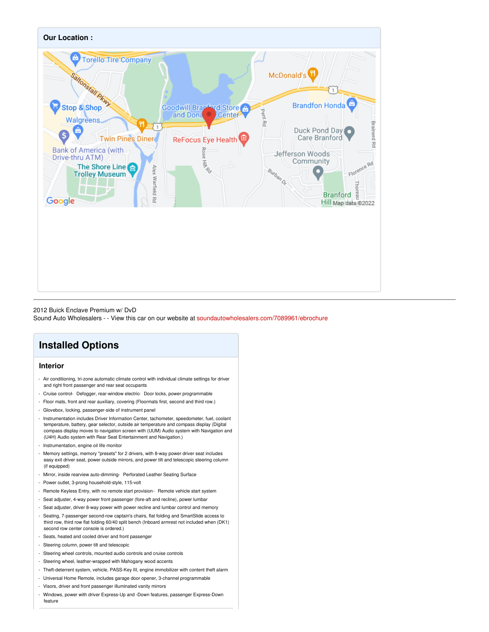

#### 2012 Buick Enclave Premium w/ DvD

Sound Auto Wholesalers - - View this car on our website at [soundautowholesalers.com/7089961/ebrochure](https://soundautowholesalers.com/vehicle/7089961/2012-buick-enclave-premium-w-dvd-branford-ct-06405/7089961/ebrochure)

### **Installed Options**

#### **Interior**

- Air conditioning, tri-zone automatic climate control with individual climate settings for driver and right front passenger and rear seat occupants
- Cruise control- Defogger, rear-window electric- Door locks, power programmable
- Floor mats, front and rear auxiliary, covering (Floormats first, second and third row.)
- Glovebox, locking, passenger-side of instrument panel
- Instrumentation includes Driver Information Center, tachometer, speedometer, fuel, coolant temperature, battery, gear selector, outside air temperature and compass display (Digital compass display moves to navigation screen with (UUM) Audio system with Navigation and (U4H) Audio system with Rear Seat Entertainment and Navigation.)
- Instrumentation, engine oil life monitor
- Memory settings, memory "presets" for 2 drivers, with 8-way power driver seat includes easy exit driver seat, power outside mirrors, and power tilt and telescopic steering column (if equipped)
- Mirror, inside rearview auto-dimming- Perforated Leather Seating Surface
- Power outlet, 3-prong household-style, 115-volt
- Remote Keyless Entry, with no remote start provision- Remote vehicle start system
- Seat adjuster, 4-way power front passenger (fore-aft and recline), power lumbar
- Seat adjuster, driver 8-way power with power recline and lumbar control and memory
- Seating, 7-passenger second-row captain's chairs, flat folding and SmartSlide access to third row, third row flat folding 60/40 split bench (Inboard armrest not included when (DK1) second row center console is ordered.)
- Seats, heated and cooled driver and front passenger
- Steering column, power tilt and telescopic
- Steering wheel controls, mounted audio controls and cruise controls
- Steering wheel, leather-wrapped with Mahogany wood accents
- Theft-deterrent system, vehicle, PASS-Key III, engine immobilizer with content theft alarm
- Universal Home Remote, includes garage door opener, 3-channel programmable
- Visors, driver and front passenger illuminated vanity mirrors
- Windows, power with driver Express-Up and -Down features, passenger Express-Down feature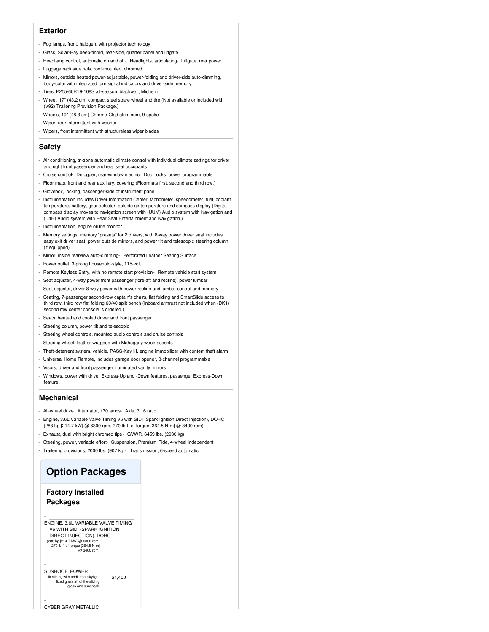#### **Exterior**

- Fog lamps, front, halogen, with projector technology
- Glass, Solar-Ray deep-tinted, rear-side, quarter panel and liftgate
- Headlamp control, automatic on and off Headlights, articulating- Liftgate, rear power
- Luggage rack side rails, roof-mounted, chromed
- Mirrors, outside heated power-adjustable, power-folding and driver-side auto-dimming, body-color with integrated turn signal indicators and driver-side memory
- Tires, P255/60R19-108S all-season, blackwall, Michelin
- Wheel, 17" (43.2 cm) compact steel spare wheel and tire (Not available or included with (V92) Trailering Provision Package.)
- Wheels, 19" (48.3 cm) Chrome-Clad aluminum, 9-spoke
- Wiper, rear intermittent with washer
- Wipers, front intermittent with structureless wiper blades

#### **Safety**

- Air conditioning, tri-zone automatic climate control with individual climate settings for driver and right front passenger and rear seat occupants
- Cruise control- Defogger, rear-window electric- Door locks, power programmable
- Floor mats, front and rear auxiliary, covering (Floormats first, second and third row.)
- Glovebox, locking, passenger-side of instrument panel
- Instrumentation includes Driver Information Center, tachometer, speedometer, fuel, coolant temperature, battery, gear selector, outside air temperature and compass display (Digital compass display moves to navigation screen with (UUM) Audio system with Navigation and (U4H) Audio system with Rear Seat Entertainment and Navigation.)
- Instrumentation, engine oil life monitor
- Memory settings, memory "presets" for 2 drivers, with 8-way power driver seat includes easy exit driver seat, power outside mirrors, and power tilt and telescopic steering column (if equipped)
- Mirror, inside rearview auto-dimming- Perforated Leather Seating Surface
- Power outlet, 3-prong household-style, 115-volt
- Remote Keyless Entry, with no remote start provision- Remote vehicle start system
- Seat adjuster, 4-way power front passenger (fore-aft and recline), power lumbar
- Seat adjuster, driver 8-way power with power recline and lumbar control and memory
- Seating, 7-passenger second-row captain's chairs, flat folding and SmartSlide access to third row, third row flat folding 60/40 split bench (Inboard armrest not included when (DK1) second row center console is ordered.)
- Seats, heated and cooled driver and front passenger
- Steering column, power tilt and telescopic
- Steering wheel controls, mounted audio controls and cruise controls
- Steering wheel, leather-wrapped with Mahogany wood accents
- Theft-deterrent system, vehicle, PASS-Key III, engine immobilizer with content theft alarm
- Universal Home Remote, includes garage door opener, 3-channel programmable
- Visors, driver and front passenger illuminated vanity mirrors
- Windows, power with driver Express-Up and -Down features, passenger Express-Down feature

#### **Mechanical**

- All-wheel drive- Alternator, 170 amps- Axle, 3.16 ratio
- Engine, 3.6L Variable Valve Timing V6 with SIDI (Spark Ignition Direct Injection), DOHC (288 hp [214.7 kW] @ 6300 rpm, 270 lb-ft of torque [364.5 N-m] @ 3400 rpm)
- Exhaust, dual with bright chromed tips GVWR, 6459 lbs. (2930 kg)
- Steering, power, variable effort- Suspension, Premium Ride, 4-wheel independent
- Trailering provisions, 2000 lbs. (907 kg)- Transmission, 6-speed automatic

#### **Option Packages**

#### **Factory Installed Packages**

-

-

ENGINE, 3.6L VARIABLE VALVE TIMING V6 WITH SIDI (SPARK IGNITION DIRECT INJECTION), DOHC (288 hp [214.7 kW] @ 6300 rpm, 270 lb-ft of torque [364.5 N-m] @ 3400 rpm)

\$1,400 SUNROOF, POWER tilt-sliding with additional skylight fixed glass aft of the sliding glass and sunshade